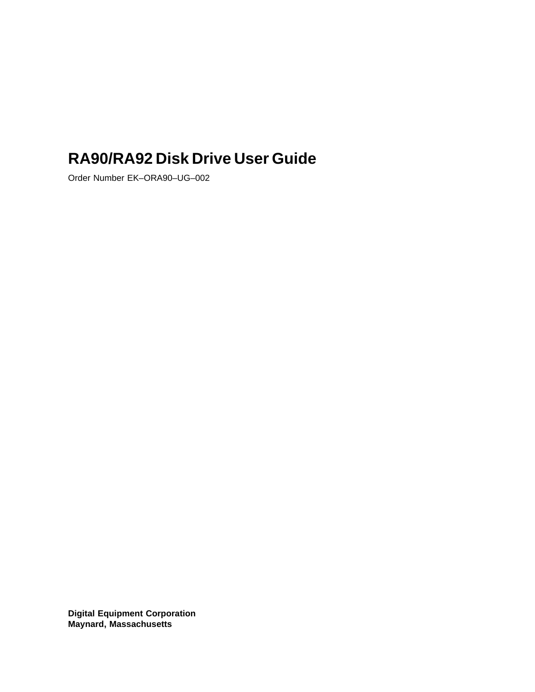# **RA90/RA92 Disk Drive User Guide**

Order Number EK–ORA90–UG–002

**Digital Equipment Corporation Maynard, Massachusetts**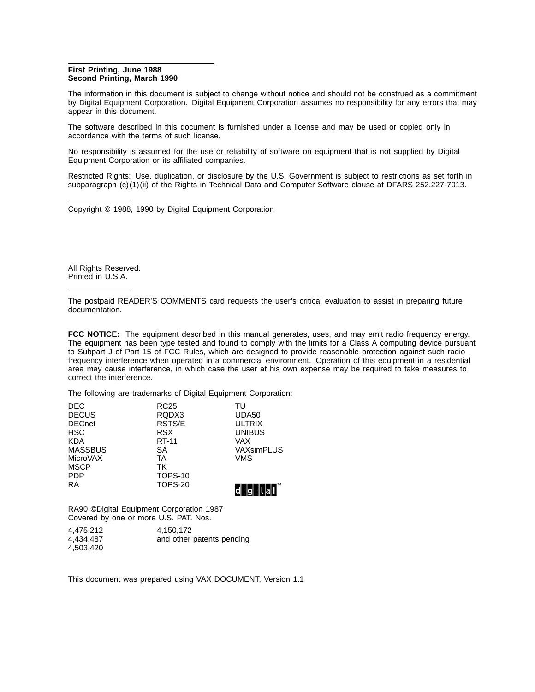#### **First Printing, June 1988 Second Printing, March 1990**

The information in this document is subject to change without notice and should not be construed as a commitment by Digital Equipment Corporation. Digital Equipment Corporation assumes no responsibility for any errors that may appear in this document.

The software described in this document is furnished under a license and may be used or copied only in accordance with the terms of such license.

No responsibility is assumed for the use or reliability of software on equipment that is not supplied by Digital Equipment Corporation or its affiliated companies.

Restricted Rights: Use, duplication, or disclosure by the U.S. Government is subject to restrictions as set forth in subparagraph (c)(1)(ii) of the Rights in Technical Data and Computer Software clause at DFARS 252.227-7013.

Copyright © 1988, 1990 by Digital Equipment Corporation

All Rights Reserved. Printed in U.S.A.

The postpaid READER'S COMMENTS card requests the user's critical evaluation to assist in preparing future documentation.

**FCC NOTICE:** The equipment described in this manual generates, uses, and may emit radio frequency energy. The equipment has been type tested and found to comply with the limits for a Class A computing device pursuant to Subpart J of Part 15 of FCC Rules, which are designed to provide reasonable protection against such radio frequency interference when operated in a commercial environment. Operation of this equipment in a residential area may cause interference, in which case the user at his own expense may be required to take measures to correct the interference.

The following are trademarks of Digital Equipment Corporation:

| <b>DEC</b>     | <b>RC25</b>    | TU            |
|----------------|----------------|---------------|
| <b>DECUS</b>   | RQDX3          | UDA50         |
| <b>DECnet</b>  | RSTS/E         | <b>ULTRIX</b> |
| <b>HSC</b>     | <b>RSX</b>     | <b>UNIBUS</b> |
| <b>KDA</b>     | RT-11          | VAX           |
| <b>MASSBUS</b> | SА             | VAXsimPLUS    |
| MicroVAX       | TA             | VMS           |
| <b>MSCP</b>    | <b>TK</b>      |               |
| <b>PDP</b>     | <b>TOPS-10</b> |               |
| <b>RA</b>      | <b>TOPS-20</b> |               |
|                |                |               |

RA90 ©Digital Equipment Corporation 1987 Covered by one or more U.S. PAT. Nos.

| 4,475,212 | 4,150,172                 |
|-----------|---------------------------|
| 4,434,487 | and other patents pending |
| 4,503,420 |                           |

This document was prepared using VAX DOCUMENT, Version 1.1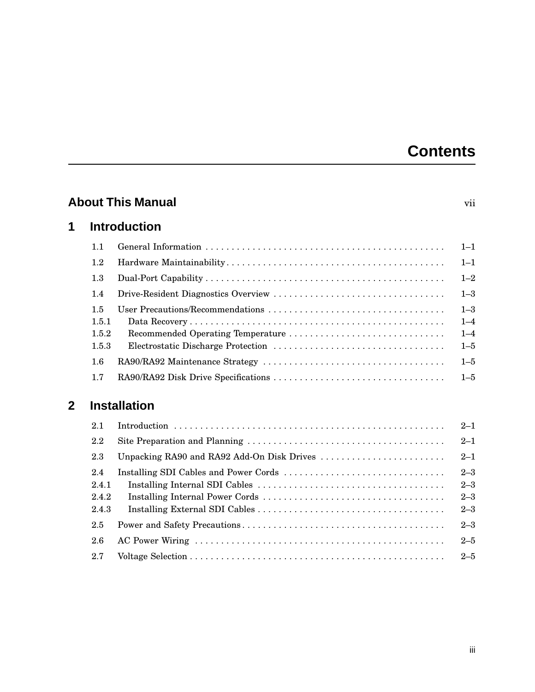# **Contents**

|             |                                | <b>About This Manual</b>          | vii                                      |
|-------------|--------------------------------|-----------------------------------|------------------------------------------|
| 1           |                                | <b>Introduction</b>               |                                          |
|             | 1.1                            |                                   | $1 - 1$                                  |
|             | 1.2                            |                                   | $1 - 1$                                  |
|             | 1.3                            |                                   | $1 - 2$                                  |
|             | 1.4                            |                                   | $1 - 3$                                  |
|             | 1.5<br>1.5.1<br>1.5.2<br>1.5.3 | Recommended Operating Temperature | $1 - 3$<br>$1 - 4$<br>$1 - 4$<br>$1 - 5$ |
|             | 1.6                            |                                   | $1 - 5$                                  |
|             | 1.7                            |                                   | $1 - 5$                                  |
| $\mathbf 2$ |                                | <b>Installation</b>               |                                          |
|             | 2.1                            |                                   | $2 - 1$                                  |
|             | 2.2                            |                                   | $2 - 1$                                  |
|             | 2.3                            |                                   | $2 - 1$                                  |
|             | 2.4<br>2.4.1<br>2.4.2<br>2.4.3 |                                   | $2 - 3$<br>$2 - 3$<br>$2 - 3$<br>$2 - 3$ |
|             | 2.5                            |                                   | $2 - 3$                                  |
|             | 2.6                            |                                   | $2 - 5$                                  |
|             | 2.7                            |                                   | $2 - 5$                                  |
|             |                                |                                   |                                          |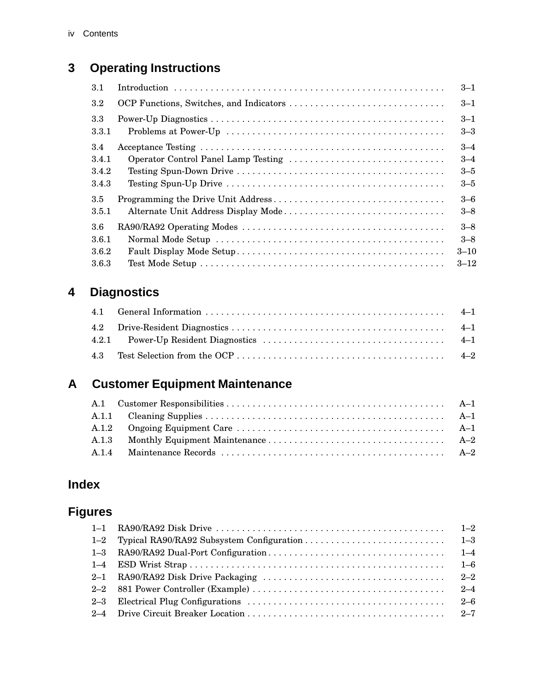## **3 Operating Instructions**

| 3.1          |                                         | $3 - 1$            |
|--------------|-----------------------------------------|--------------------|
| $3.2\,$      | OCP Functions, Switches, and Indicators | $3 - 1$            |
| 3.3<br>3.3.1 |                                         | $3 - 1$<br>$3 - 3$ |
| 3.4          |                                         | $3 - 4$            |
| 3.4.1        |                                         | $3 - 4$            |
| 3.4.2        |                                         | $3 - 5$            |
| 3.4.3        |                                         | $3 - 5$            |
| 3.5          |                                         | $3 - 6$            |
| 3.5.1        | Alternate Unit Address Display Mode     | $3 - 8$            |
| 3.6          |                                         | $3 - 8$            |
| 3.6.1        |                                         | $3 - 8$            |
| 3.6.2        |                                         | $3 - 10$           |
| 3.6.3        |                                         | $3 - 12$           |

## **4 Diagnostics**

## **A Customer Equipment Maintenance**

## **Index**

## **Figures**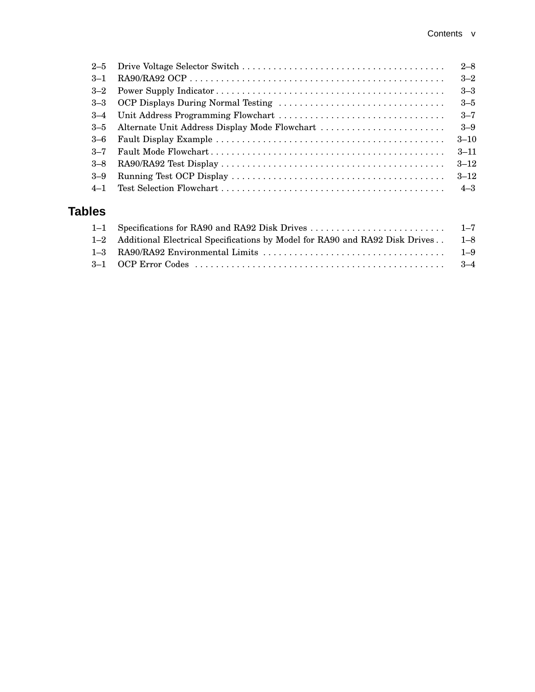|          |                                               | $2 - 8$  |
|----------|-----------------------------------------------|----------|
| $-3 - 1$ |                                               | $3 - 2$  |
|          |                                               | $3 - 3$  |
|          | 3–3 OCP Displays During Normal Testing        | $3 - 5$  |
|          |                                               | $3 - 7$  |
| $3 - 5$  | Alternate Unit Address Display Mode Flowchart | $3 - 9$  |
| 3–6      |                                               | $3 - 10$ |
| $-3 - 7$ |                                               | $3 - 11$ |
| $3 - 8$  |                                               | $3 - 12$ |
| $3 - 9$  |                                               | $3 - 12$ |
| $4 - 1$  |                                               | $4 - 3$  |
|          |                                               |          |

### **Tables**

| 1–2 Additional Electrical Specifications by Model for RA90 and RA92 Disk Drives . 1–8 |  |
|---------------------------------------------------------------------------------------|--|
|                                                                                       |  |
|                                                                                       |  |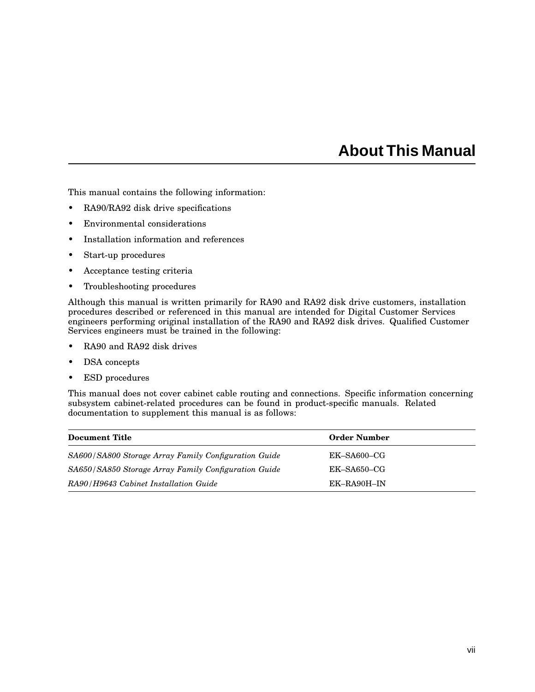## **About This Manual**

This manual contains the following information:

- RA90/RA92 disk drive specifications
- Environmental considerations
- Installation information and references
- Start-up procedures
- Acceptance testing criteria
- Troubleshooting procedures

Although this manual is written primarily for RA90 and RA92 disk drive customers, installation procedures described or referenced in this manual are intended for Digital Customer Services engineers performing original installation of the RA90 and RA92 disk drives. Qualified Customer Services engineers must be trained in the following:

- RA90 and RA92 disk drives
- DSA concepts
- ESD procedures

This manual does not cover cabinet cable routing and connections. Specific information concerning subsystem cabinet-related procedures can be found in product-specific manuals. Related documentation to supplement this manual is as follows:

| Document Title                                       | <b>Order Number</b> |
|------------------------------------------------------|---------------------|
| SA600/SA800 Storage Array Family Configuration Guide | $EK$ -SA600-CG      |
| SA650/SA850 Storage Array Family Configuration Guide | $EK$ -SA650-CG      |
| RA90/H9643 Cabinet Installation Guide                | EK-RA90H-IN         |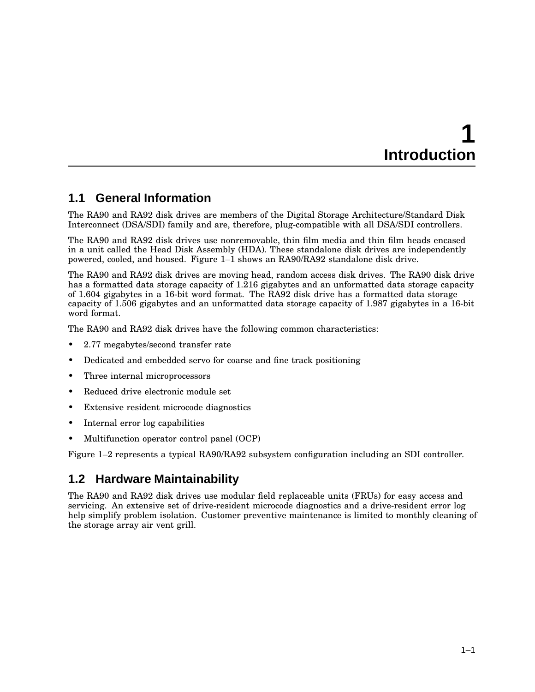# **1 Introduction**

### **1.1 General Information**

The RA90 and RA92 disk drives are members of the Digital Storage Architecture/Standard Disk Interconnect (DSA/SDI) family and are, therefore, plug-compatible with all DSA/SDI controllers.

The RA90 and RA92 disk drives use nonremovable, thin film media and thin film heads encased in a unit called the Head Disk Assembly (HDA). These standalone disk drives are independently powered, cooled, and housed. Figure 1–1 shows an RA90/RA92 standalone disk drive.

The RA90 and RA92 disk drives are moving head, random access disk drives. The RA90 disk drive has a formatted data storage capacity of 1.216 gigabytes and an unformatted data storage capacity of 1.604 gigabytes in a 16-bit word format. The RA92 disk drive has a formatted data storage capacity of 1.506 gigabytes and an unformatted data storage capacity of 1.987 gigabytes in a 16-bit word format.

The RA90 and RA92 disk drives have the following common characteristics:

- 2.77 megabytes/second transfer rate
- Dedicated and embedded servo for coarse and fine track positioning
- Three internal microprocessors
- Reduced drive electronic module set
- Extensive resident microcode diagnostics
- Internal error log capabilities
- Multifunction operator control panel (OCP)

Figure 1–2 represents a typical RA90/RA92 subsystem configuration including an SDI controller.

### **1.2 Hardware Maintainability**

The RA90 and RA92 disk drives use modular field replaceable units (FRUs) for easy access and servicing. An extensive set of drive-resident microcode diagnostics and a drive-resident error log help simplify problem isolation. Customer preventive maintenance is limited to monthly cleaning of the storage array air vent grill.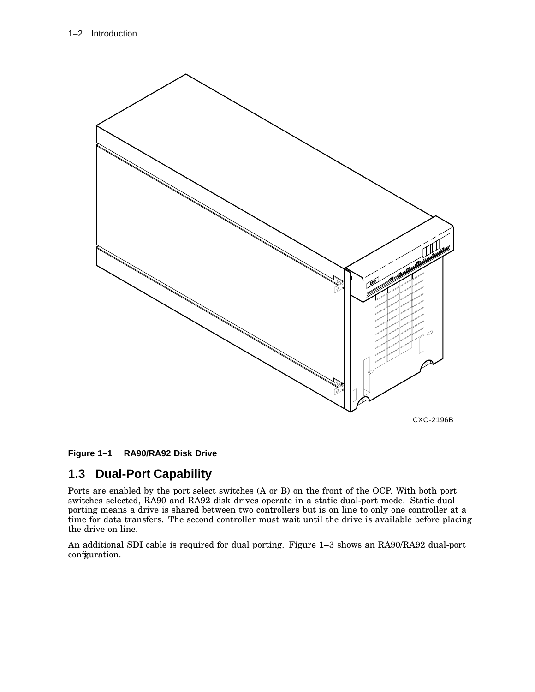

**Figure 1–1 RA90/RA92 Disk Drive**

### **1.3 Dual-Port Capability**

Ports are enabled by the port select switches (A or B) on the front of the OCP. With both port switches selected, RA90 and RA92 disk drives operate in a static dual-port mode. Static dual porting means a drive is shared between two controllers but is on line to only one controller at a time for data transfers. The second controller must wait until the drive is available before placing the drive on line.

An additional SDI cable is required for dual porting. Figure 1–3 shows an RA90/RA92 dual-port configuration.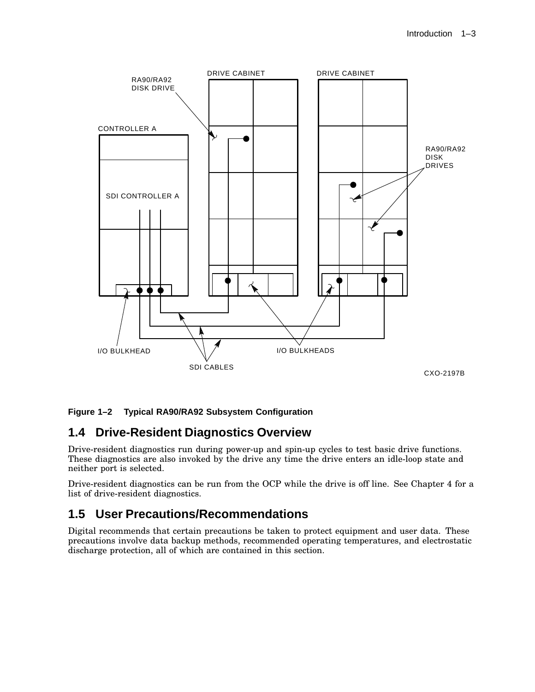

#### **Figure 1–2 Typical RA90/RA92 Subsystem Configuration**

### **1.4 Drive-Resident Diagnostics Overview**

Drive-resident diagnostics run during power-up and spin-up cycles to test basic drive functions. These diagnostics are also invoked by the drive any time the drive enters an idle-loop state and neither port is selected.

Drive-resident diagnostics can be run from the OCP while the drive is off line. See Chapter 4 for a list of drive-resident diagnostics.

### **1.5 User Precautions/Recommendations**

Digital recommends that certain precautions be taken to protect equipment and user data. These precautions involve data backup methods, recommended operating temperatures, and electrostatic discharge protection, all of which are contained in this section.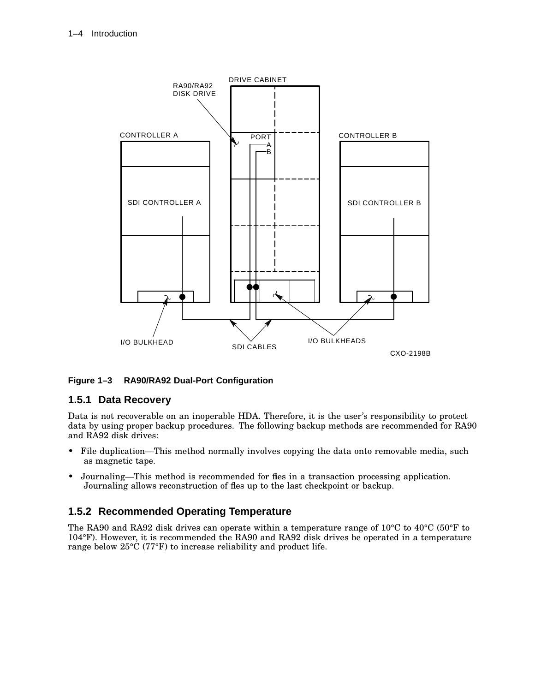

#### **Figure 1–3 RA90/RA92 Dual-Port Configuration**

#### **1.5.1 Data Recovery**

Data is not recoverable on an inoperable HDA. Therefore, it is the user's responsibility to protect data by using proper backup procedures. The following backup methods are recommended for RA90 and RA92 disk drives:

- File duplication—This method normally involves copying the data onto removable media, such as magnetic tape.
- Journaling—This method is recommended for fles in a transaction processing application. Journaling allows reconstruction of fles up to the last checkpoint or backup.

#### **1.5.2 Recommended Operating Temperature**

The RA90 and RA92 disk drives can operate within a temperature range of 10°C to 40°C (50°F to 104°F). However, it is recommended the RA90 and RA92 disk drives be operated in a temperature range below 25°C (77°F) to increase reliability and product life.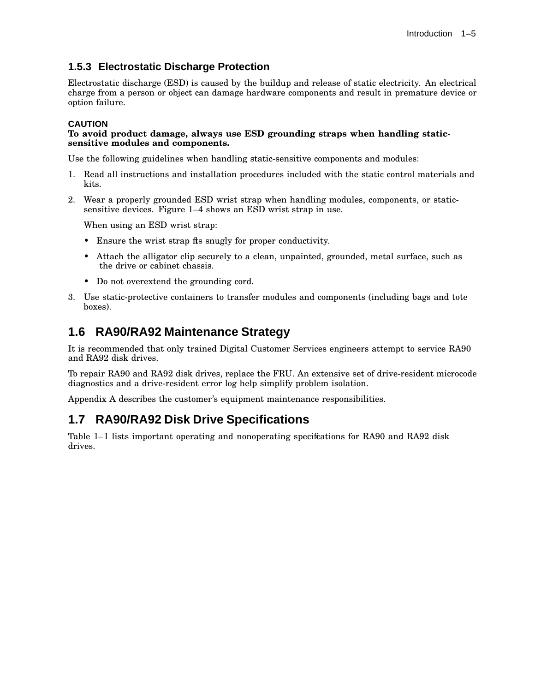#### **1.5.3 Electrostatic Discharge Protection**

Electrostatic discharge (ESD) is caused by the buildup and release of static electricity. An electrical charge from a person or object can damage hardware components and result in premature device or option failure.

#### **CAUTION**

#### **To avoid product damage, always use ESD grounding straps when handling staticsensitive modules and components.**

Use the following guidelines when handling static-sensitive components and modules:

- 1. Read all instructions and installation procedures included with the static control materials and kits.
- 2. Wear a properly grounded ESD wrist strap when handling modules, components, or staticsensitive devices. Figure 1–4 shows an ESD wrist strap in use.

When using an ESD wrist strap:

- Ensure the wrist strap fits snugly for proper conductivity.
- Attach the alligator clip securely to a clean, unpainted, grounded, metal surface, such as the drive or cabinet chassis.
- Do not overextend the grounding cord.
- 3. Use static-protective containers to transfer modules and components (including bags and tote boxes).

### **1.6 RA90/RA92 Maintenance Strategy**

It is recommended that only trained Digital Customer Services engineers attempt to service RA90 and RA92 disk drives.

To repair RA90 and RA92 disk drives, replace the FRU. An extensive set of drive-resident microcode diagnostics and a drive-resident error log help simplify problem isolation.

Appendix A describes the customer's equipment maintenance responsibilities.

### **1.7 RA90/RA92 Disk Drive Specifications**

Table 1–1 lists important operating and nonoperating specifications for RA90 and RA92 disk drives.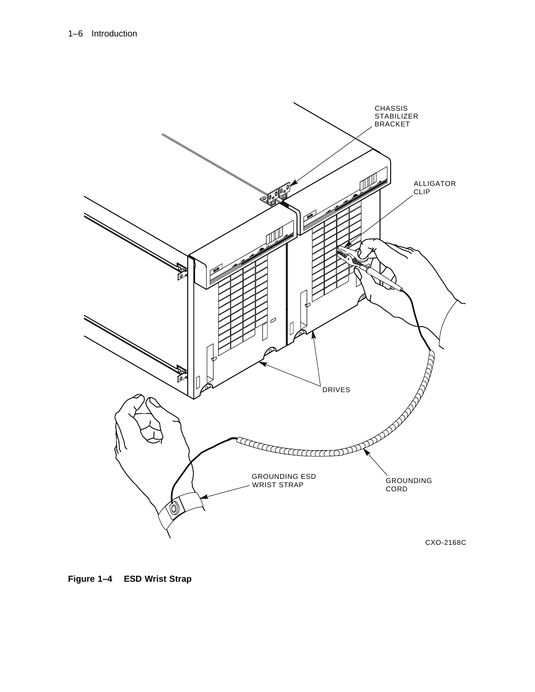

**Figure 1–4 ESD Wrist Strap**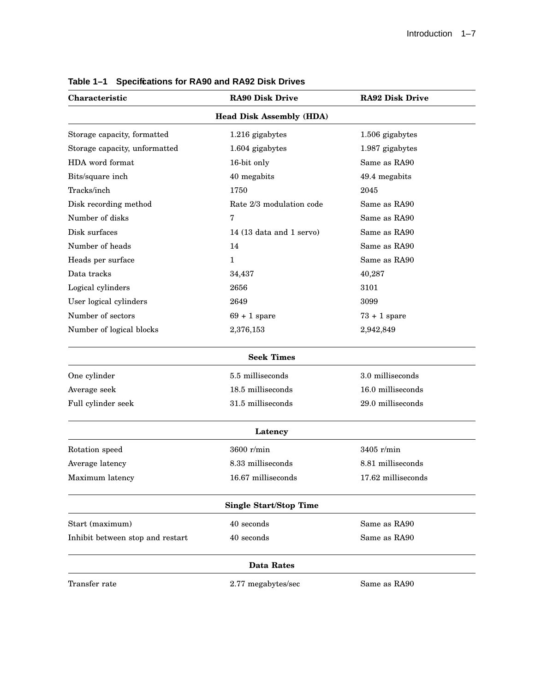| Characteristic                   | <b>RA90 Disk Drive</b>          | <b>RA92 Disk Drive</b> |
|----------------------------------|---------------------------------|------------------------|
|                                  | <b>Head Disk Assembly (HDA)</b> |                        |
| Storage capacity, formatted      | 1.216 gigabytes                 | 1.506 gigabytes        |
| Storage capacity, unformatted    | 1.604 gigabytes                 | 1.987 gigabytes        |
| HDA word format                  | 16-bit only                     | Same as RA90           |
| Bits/square inch                 | 40 megabits                     | 49.4 megabits          |
| Tracks/inch                      | 1750                            | 2045                   |
| Disk recording method            | Rate 2/3 modulation code        | Same as RA90           |
| Number of disks                  | 7                               | Same as RA90           |
| Disk surfaces                    | 14 $(13$ data and 1 servo)      | Same as RA90           |
| Number of heads                  | 14                              | Same as RA90           |
| Heads per surface                | $\mathbf{1}$                    | Same as RA90           |
| Data tracks                      | 34,437                          | 40,287                 |
| Logical cylinders                | 2656                            | 3101                   |
| User logical cylinders           | 2649                            | 3099                   |
| Number of sectors                | $69 + 1$ spare                  | $73 + 1$ spare         |
| Number of logical blocks         | 2,376,153                       | 2,942,849              |
|                                  | <b>Seek Times</b>               |                        |
| One cylinder                     | 5.5 milliseconds                | 3.0 milliseconds       |
| Average seek                     | 18.5 milliseconds               | 16.0 milliseconds      |
| Full cylinder seek               | 31.5 milliseconds               | 29.0 milliseconds      |
|                                  | Latency                         |                        |
| Rotation speed                   | $3600$ r/min                    | $3405$ r/min           |
| Average latency                  | 8.33 milliseconds               | 8.81 milliseconds      |
| Maximum latency                  | 16.67 milliseconds              | 17.62 milliseconds     |
|                                  | <b>Single Start/Stop Time</b>   |                        |
| Start (maximum)                  | 40 seconds                      | Same as RA90           |
| Inhibit between stop and restart | 40 seconds                      | Same as RA90           |
|                                  | <b>Data Rates</b>               |                        |
| Transfer rate                    | 2.77 megabytes/sec              | Same as RA90           |

| Table 1-1 Specifications for RA90 and RA92 Disk Drives |
|--------------------------------------------------------|
|--------------------------------------------------------|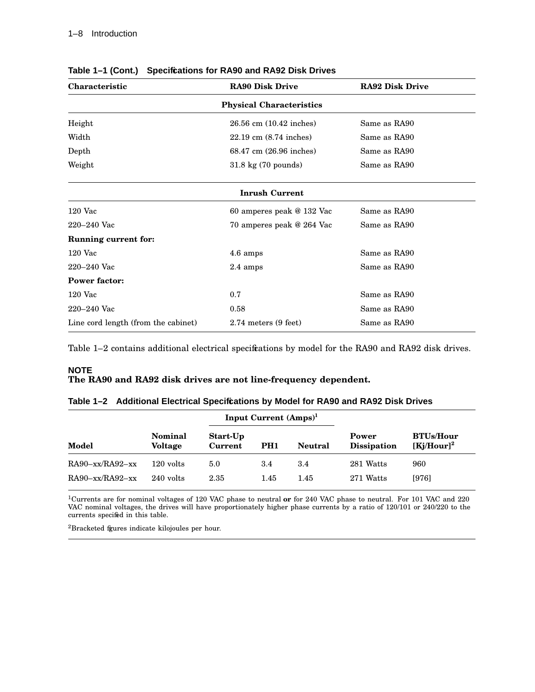| Characteristic                      | <b>RA90 Disk Drive</b>                    | <b>RA92 Disk Drive</b> |  |  |  |  |  |
|-------------------------------------|-------------------------------------------|------------------------|--|--|--|--|--|
| <b>Physical Characteristics</b>     |                                           |                        |  |  |  |  |  |
| Height                              | 26.56 cm (10.42 inches)                   | Same as RA90           |  |  |  |  |  |
| Width                               | $22.19 \text{ cm } (8.74 \text{ inches})$ | Same as RA90           |  |  |  |  |  |
| Depth                               | 68.47 cm (26.96 inches)                   | Same as RA90           |  |  |  |  |  |
| Weight                              | 31.8 kg (70 pounds)                       | Same as RA90           |  |  |  |  |  |
|                                     | <b>Inrush Current</b>                     |                        |  |  |  |  |  |
| $120$ Vac                           | 60 amperes peak @ 132 Vac                 | Same as RA90           |  |  |  |  |  |
| $220 - 240$ Vac                     | 70 amperes peak @ 264 Vac                 | Same as RA90           |  |  |  |  |  |
| <b>Running current for:</b>         |                                           |                        |  |  |  |  |  |
| $120$ Vac                           | 4.6 amps                                  | Same as RA90           |  |  |  |  |  |
| $220 - 240$ Vac                     | $2.4 \text{ amps}$                        | Same as RA90           |  |  |  |  |  |
| <b>Power factor:</b>                |                                           |                        |  |  |  |  |  |
| $120$ Vac                           | 0.7                                       | Same as RA90           |  |  |  |  |  |
| $220 - 240$ Vac                     | 0.58                                      | Same as RA90           |  |  |  |  |  |
| Line cord length (from the cabinet) | $2.74$ meters $(9$ feet)                  | Same as RA90           |  |  |  |  |  |

**Table 1–1 (Cont.) Specifications for RA90 and RA92 Disk Drives**

Table 1-2 contains additional electrical specifications by model for the RA90 and RA92 disk drives.

#### **NOTE The RA90 and RA92 disk drives are not line-frequency dependent.**

|                       |                                  |                     | Input Current $(Amps)^1$ |                |                             |                                   |  |
|-----------------------|----------------------------------|---------------------|--------------------------|----------------|-----------------------------|-----------------------------------|--|
| Model                 | <b>Nominal</b><br><b>Voltage</b> | Start-Up<br>Current | PH <sub>1</sub>          | <b>Neutral</b> | Power<br><b>Dissipation</b> | <b>BTUs/Hour</b><br>$[Kj/Hour]^2$ |  |
| $RA90 - xx/RA92 - xx$ | $120$ volts                      | 5.0                 | 3.4                      | 3.4            | 281 Watts                   | 960                               |  |
| $RA90 - xx/RA92 - xx$ | $240$ volts                      | 2.35                | 1.45                     | 1.45           | 271 Watts                   | [976]                             |  |

|  |  | Table 1–2 Additional Electrical Specifcations by Model for RA90 and RA92 Disk Drives |
|--|--|--------------------------------------------------------------------------------------|

<sup>1</sup>Currents are for nominal voltages of 120 VAC phase to neutral **or** for 240 VAC phase to neutral. For 101 VAC and 220 VAC nominal voltages, the drives will have proportionately higher phase currents by a ratio of 120/101 or 240/220 to the currents specified in this table.

<sup>2</sup>Bracketed figures indicate kilojoules per hour.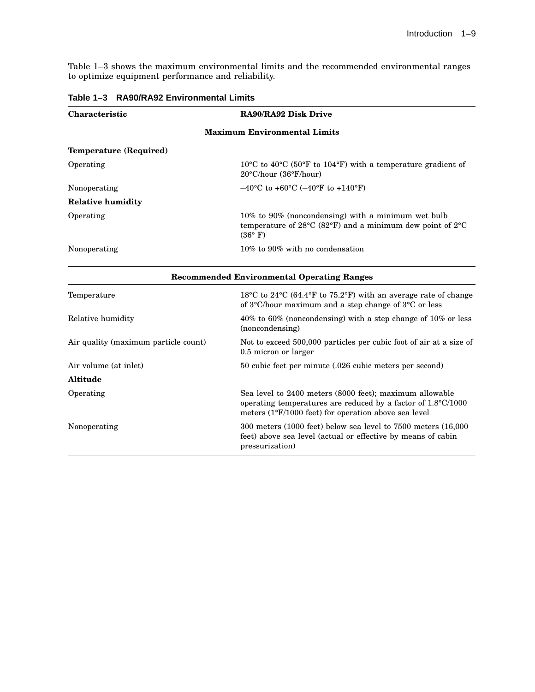Table 1–3 shows the maximum environmental limits and the recommended environmental ranges to optimize equipment performance and reliability.

| Characteristic                      | RA90/RA92 Disk Drive                                                                                                                                                                           |  |  |  |
|-------------------------------------|------------------------------------------------------------------------------------------------------------------------------------------------------------------------------------------------|--|--|--|
| <b>Maximum Environmental Limits</b> |                                                                                                                                                                                                |  |  |  |
| Temperature (Required)              |                                                                                                                                                                                                |  |  |  |
| Operating                           | $10^{\circ}$ C to $40^{\circ}$ C (50°F to 104°F) with a temperature gradient of<br>$20^{\circ}$ C/hour (36 $^{\circ}$ F/hour)                                                                  |  |  |  |
| Nonoperating                        | $-40^{\circ}$ C to +60 $^{\circ}$ C (-40 $^{\circ}$ F to +140 $^{\circ}$ F)                                                                                                                    |  |  |  |
| <b>Relative humidity</b>            |                                                                                                                                                                                                |  |  |  |
| Operating                           | $10\%$ to 90% (noncondensing) with a minimum wet bulb<br>temperature of $28^{\circ}$ C (82°F) and a minimum dew point of $2^{\circ}$ C<br>$(36^{\circ} \text{ F})$                             |  |  |  |
| Nonoperating                        | $10\%$ to 90% with no condensation                                                                                                                                                             |  |  |  |
|                                     | <b>Recommended Environmental Operating Ranges</b>                                                                                                                                              |  |  |  |
| Temperature                         | 18 <sup>o</sup> C to 24 <sup>o</sup> C (64.4 <sup>o</sup> F to 75.2 <sup>o</sup> F) with an average rate of change<br>of $3^{\circ}$ C/hour maximum and a step change of $3^{\circ}$ C or less |  |  |  |
| Relative humidity                   | 40% to 60% (noncondensing) with a step change of 10% or less                                                                                                                                   |  |  |  |

(noncondensing) Air quality (maximum particle count) Not to exceed 500,000 particles per cubic foot of air at a size of 0.5 micron or larger

Air volume (at inlet) 50 cubic feet per minute (.026 cubic meters per second)

Operating Sea level to 2400 meters (8000 feet); maximum allowable

Nonoperating 300 meters (1000 feet) below sea level to 7500 meters (16,000

pressurization)

operating temperatures are reduced by a factor of 1.8°C/1000

feet) above sea level (actual or effective by means of cabin

meters (1°F/1000 feet) for operation above sea level

#### **Table 1–3 RA90/RA92 Environmental Limits**

**Altitude**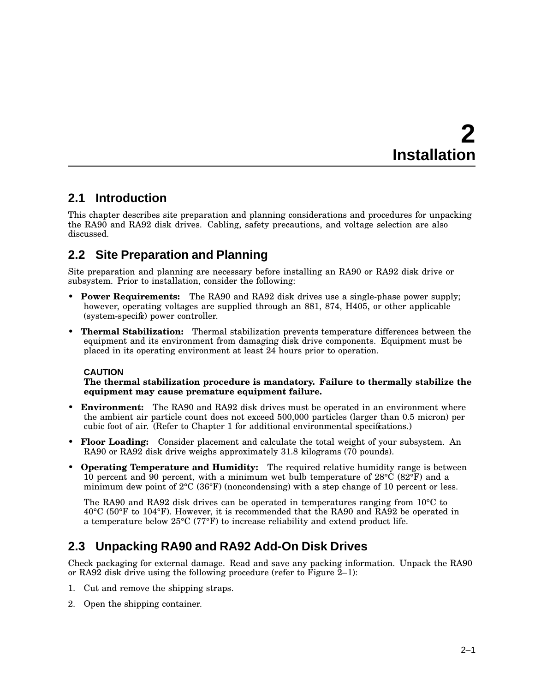# **2 Installation**

### **2.1 Introduction**

This chapter describes site preparation and planning considerations and procedures for unpacking the RA90 and RA92 disk drives. Cabling, safety precautions, and voltage selection are also discussed.

### **2.2 Site Preparation and Planning**

Site preparation and planning are necessary before installing an RA90 or RA92 disk drive or subsystem. Prior to installation, consider the following:

- **Power Requirements:** The RA90 and RA92 disk drives use a single-phase power supply; however, operating voltages are supplied through an 881, 874, H405, or other applicable (system-specific) power controller.
- **Thermal Stabilization:** Thermal stabilization prevents temperature differences between the equipment and its environment from damaging disk drive components. Equipment must be placed in its operating environment at least 24 hours prior to operation.

#### **CAUTION**

**The thermal stabilization procedure is mandatory. Failure to thermally stabilize the equipment may cause premature equipment failure.**

- **Environment:** The RA90 and RA92 disk drives must be operated in an environment where the ambient air particle count does not exceed 500,000 particles (larger than 0.5 micron) per cubic foot of air. (Refer to Chapter 1 for additional environmental specifications.)
- **Floor Loading:** Consider placement and calculate the total weight of your subsystem. An RA90 or RA92 disk drive weighs approximately 31.8 kilograms (70 pounds).
- **Operating Temperature and Humidity:** The required relative humidity range is between 10 percent and 90 percent, with a minimum wet bulb temperature of  $28^{\circ}C(82^{\circ}F)$  and a minimum dew point of  $2^{\circ}C$  (36°F) (noncondensing) with a step change of 10 percent or less.

The RA90 and RA92 disk drives can be operated in temperatures ranging from 10°C to 40°C (50°F to 104°F). However, it is recommended that the RA90 and RA92 be operated in a temperature below 25°C (77°F) to increase reliability and extend product life.

### **2.3 Unpacking RA90 and RA92 Add-On Disk Drives**

Check packaging for external damage. Read and save any packing information. Unpack the RA90 or RA92 disk drive using the following procedure (refer to Figure  $2-1$ ):

- 1. Cut and remove the shipping straps.
- 2. Open the shipping container.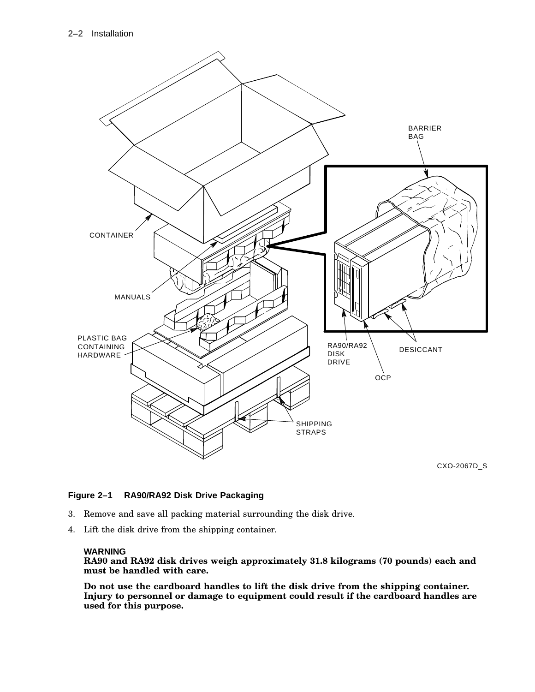

CXO-2067D\_S

#### **Figure 2–1 RA90/RA92 Disk Drive Packaging**

- 3. Remove and save all packing material surrounding the disk drive.
- 4. Lift the disk drive from the shipping container.

#### **WARNING**

**RA90 and RA92 disk drives weigh approximately 31.8 kilograms (70 pounds) each and must be handled with care.**

**Do not use the cardboard handles to lift the disk drive from the shipping container. Injury to personnel or damage to equipment could result if the cardboard handles are used for this purpose.**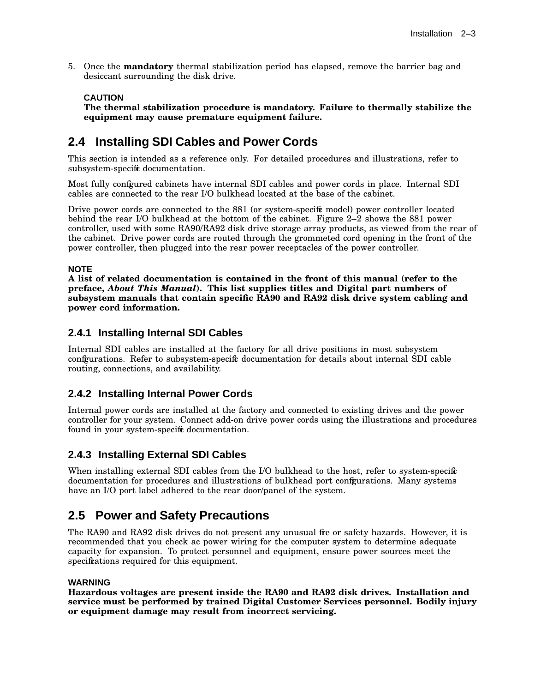5. Once the **mandatory** thermal stabilization period has elapsed, remove the barrier bag and desiccant surrounding the disk drive.

#### **CAUTION**

**The thermal stabilization procedure is mandatory. Failure to thermally stabilize the equipment may cause premature equipment failure.**

### **2.4 Installing SDI Cables and Power Cords**

This section is intended as a reference only. For detailed procedures and illustrations, refer to subsystem-specific documentation.

Most fully configured cabinets have internal SDI cables and power cords in place. Internal SDI cables are connected to the rear I/O bulkhead located at the base of the cabinet.

Drive power cords are connected to the 881 (or system-specific model) power controller located behind the rear I/O bulkhead at the bottom of the cabinet. Figure 2–2 shows the 881 power controller, used with some RA90/RA92 disk drive storage array products, as viewed from the rear of the cabinet. Drive power cords are routed through the grommeted cord opening in the front of the power controller, then plugged into the rear power receptacles of the power controller.

#### **NOTE**

**A list of related documentation is contained in the front of this manual (refer to the preface,** *About This Manual***). This list supplies titles and Digital part numbers of subsystem manuals that contain specific RA90 and RA92 disk drive system cabling and power cord information.**

#### **2.4.1 Installing Internal SDI Cables**

Internal SDI cables are installed at the factory for all drive positions in most subsystem configurations. Refer to subsystem-specific documentation for details about internal SDI cable routing, connections, and availability.

#### **2.4.2 Installing Internal Power Cords**

Internal power cords are installed at the factory and connected to existing drives and the power controller for your system. Connect add-on drive power cords using the illustrations and procedures found in your system-specific documentation.

#### **2.4.3 Installing External SDI Cables**

When installing external SDI cables from the I/O bulkhead to the host, refer to system-specific documentation for procedures and illustrations of bulkhead port configurations. Many systems have an I/O port label adhered to the rear door/panel of the system.

### **2.5 Power and Safety Precautions**

The RA90 and RA92 disk drives do not present any unusual fre or safety hazards. However, it is recommended that you check ac power wiring for the computer system to determine adequate capacity for expansion. To protect personnel and equipment, ensure power sources meet the specifications required for this equipment.

#### **WARNING**

**Hazardous voltages are present inside the RA90 and RA92 disk drives. Installation and service must be performed by trained Digital Customer Services personnel. Bodily injury or equipment damage may result from incorrect servicing.**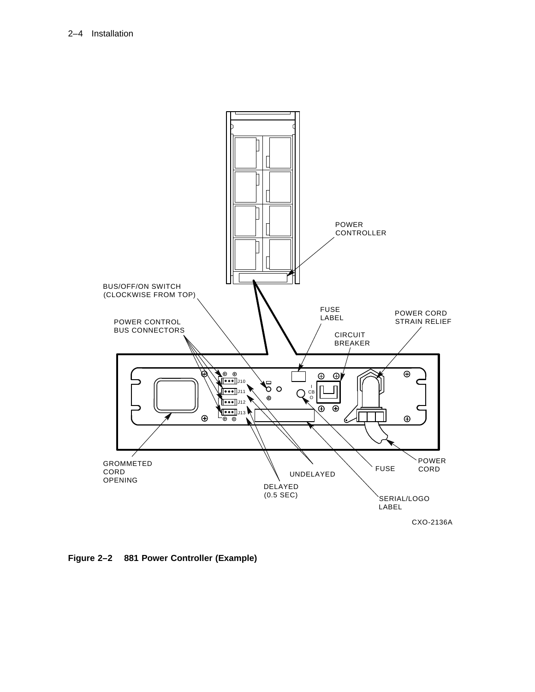

**Figure 2–2 881 Power Controller (Example)**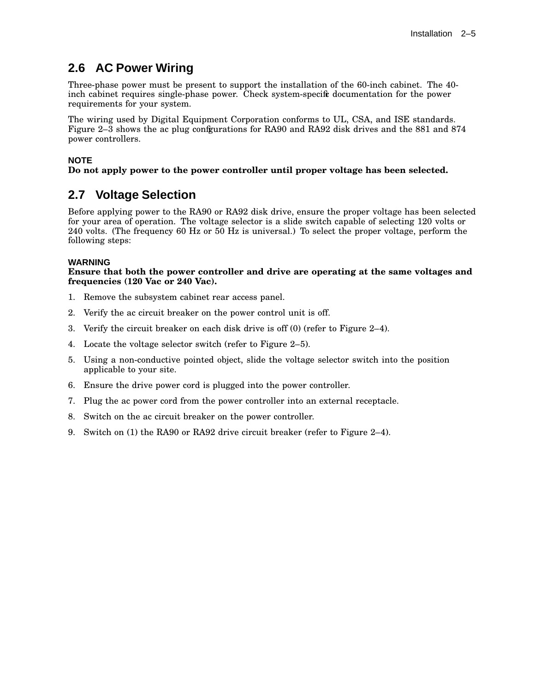### **2.6 AC Power Wiring**

Three-phase power must be present to support the installation of the 60-inch cabinet. The 40 inch cabinet requires single-phase power. Check system-specific documentation for the power requirements for your system.

The wiring used by Digital Equipment Corporation conforms to UL, CSA, and ISE standards. Figure 2–3 shows the ac plug configurations for RA90 and RA92 disk drives and the 881 and 874 power controllers.

#### **NOTE**

#### **Do not apply power to the power controller until proper voltage has been selected.**

### **2.7 Voltage Selection**

Before applying power to the RA90 or RA92 disk drive, ensure the proper voltage has been selected for your area of operation. The voltage selector is a slide switch capable of selecting 120 volts or 240 volts. (The frequency 60 Hz or 50 Hz is universal.) To select the proper voltage, perform the following steps:

#### **WARNING**

#### **Ensure that both the power controller and drive are operating at the same voltages and frequencies (120 Vac or 240 Vac).**

- 1. Remove the subsystem cabinet rear access panel.
- 2. Verify the ac circuit breaker on the power control unit is off.
- 3. Verify the circuit breaker on each disk drive is off (0) (refer to Figure 2–4).
- 4. Locate the voltage selector switch (refer to Figure 2–5).
- 5. Using a non-conductive pointed object, slide the voltage selector switch into the position applicable to your site.
- 6. Ensure the drive power cord is plugged into the power controller.
- 7. Plug the ac power cord from the power controller into an external receptacle.
- 8. Switch on the ac circuit breaker on the power controller.
- 9. Switch on (1) the RA90 or RA92 drive circuit breaker (refer to Figure 2–4).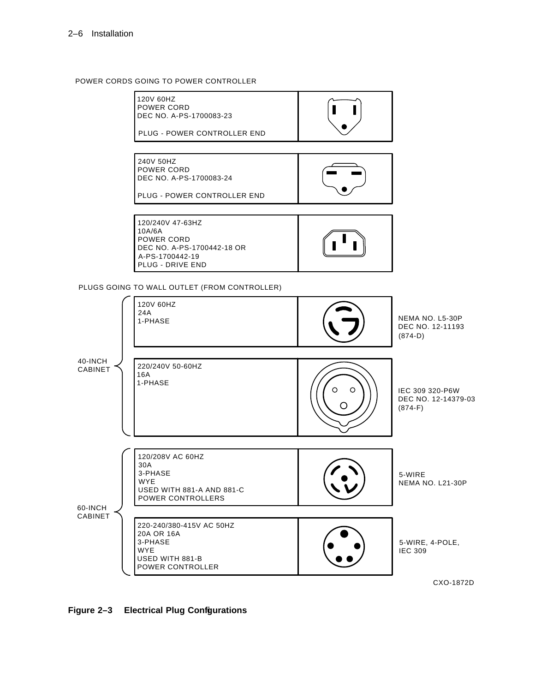#### POWER CORDS GOING TO POWER CONTROLLER



220-240/380-415V AC 50HZ 20A OR 16A USED WITH 881-B POWER CONTROLLER 5-WIRE, 4-POLE, IEC 309

CXO-1872D

**Figure 2–3 Electrical Plug Configurations**

3-PHASE WYE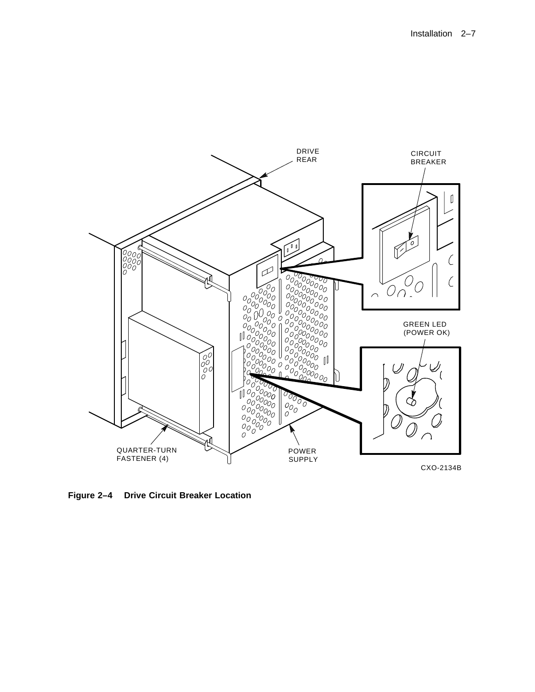

**Figure 2–4 Drive Circuit Breaker Location**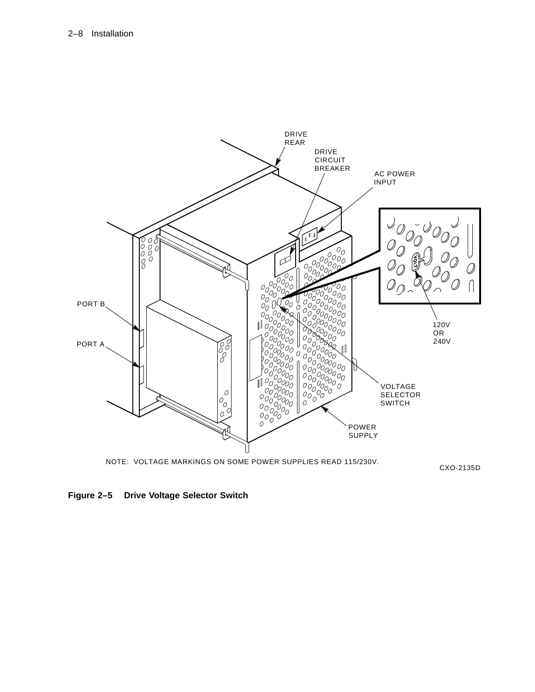

NOTE: VOLTAGE MARKINGS ON SOME POWER SUPPLIES READ 115/230V.

CXO-2135D

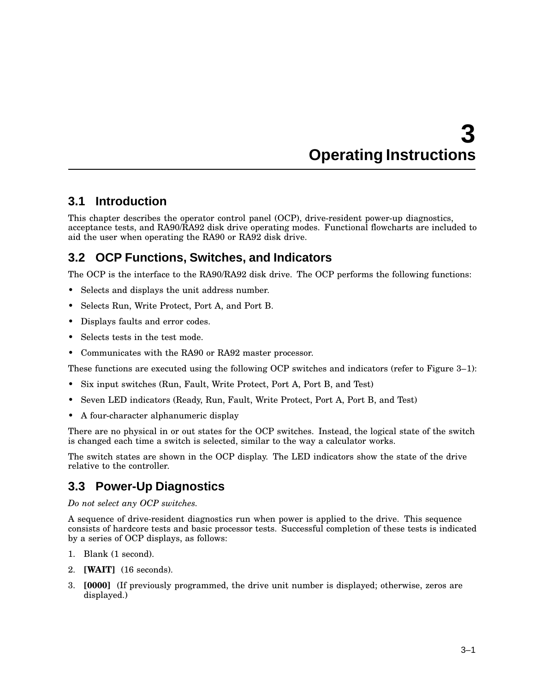# **3 Operating Instructions**

### **3.1 Introduction**

This chapter describes the operator control panel (OCP), drive-resident power-up diagnostics, acceptance tests, and RA90/RA92 disk drive operating modes. Functional flowcharts are included to aid the user when operating the RA90 or RA92 disk drive.

### **3.2 OCP Functions, Switches, and Indicators**

The OCP is the interface to the RA90/RA92 disk drive. The OCP performs the following functions:

- Selects and displays the unit address number.
- Selects Run, Write Protect, Port A, and Port B.
- Displays faults and error codes.
- Selects tests in the test mode.
- Communicates with the RA90 or RA92 master processor.

These functions are executed using the following OCP switches and indicators (refer to Figure 3–1):

- Six input switches (Run, Fault, Write Protect, Port A, Port B, and Test)
- Seven LED indicators (Ready, Run, Fault, Write Protect, Port A, Port B, and Test)
- A four-character alphanumeric display

There are no physical in or out states for the OCP switches. Instead, the logical state of the switch is changed each time a switch is selected, similar to the way a calculator works.

The switch states are shown in the OCP display. The LED indicators show the state of the drive relative to the controller.

### **3.3 Power-Up Diagnostics**

*Do not select any OCP switches.*

A sequence of drive-resident diagnostics run when power is applied to the drive. This sequence consists of hardcore tests and basic processor tests. Successful completion of these tests is indicated by a series of OCP displays, as follows:

- 1. Blank (1 second).
- 2. **[WAIT]** (16 seconds).
- 3. **[0000]** (If previously programmed, the drive unit number is displayed; otherwise, zeros are displayed.)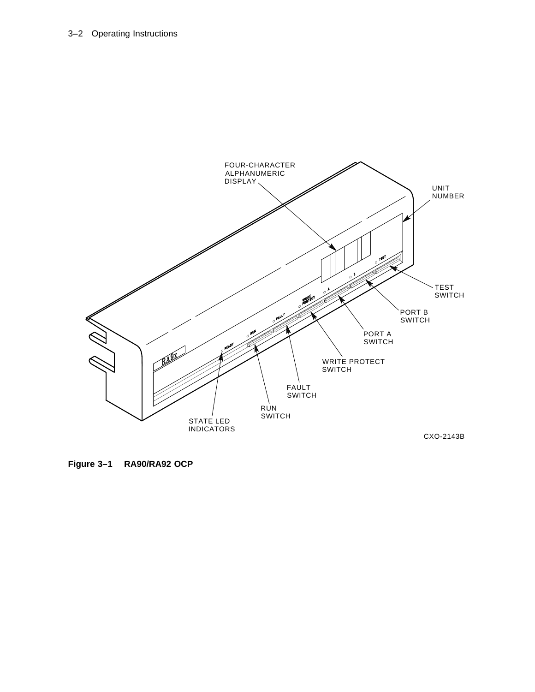#### 3–2 Operating Instructions



**Figure 3–1 RA90/RA92 OCP**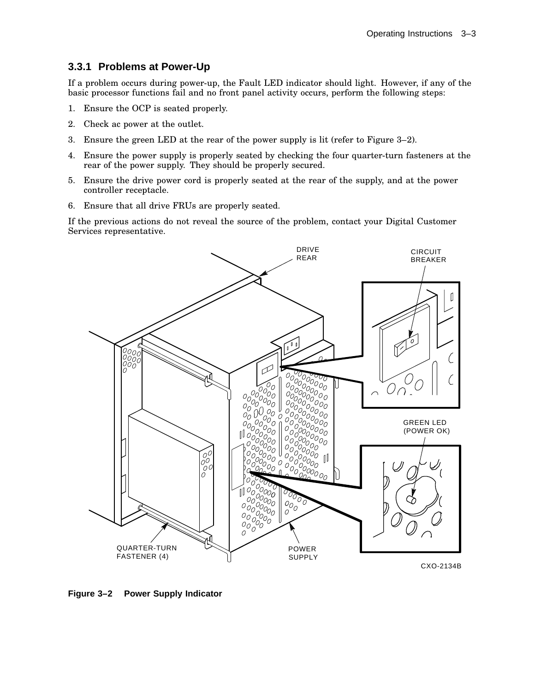### **3.3.1 Problems at Power-Up**

If a problem occurs during power-up, the Fault LED indicator should light. However, if any of the basic processor functions fail and no front panel activity occurs, perform the following steps:

- 1. Ensure the OCP is seated properly.
- 2. Check ac power at the outlet.
- 3. Ensure the green LED at the rear of the power supply is lit (refer to Figure 3–2).
- 4. Ensure the power supply is properly seated by checking the four quarter-turn fasteners at the rear of the power supply. They should be properly secured.
- 5. Ensure the drive power cord is properly seated at the rear of the supply, and at the power controller receptacle.
- 6. Ensure that all drive FRUs are properly seated.

If the previous actions do not reveal the source of the problem, contact your Digital Customer Services representative.



**Figure 3–2 Power Supply Indicator**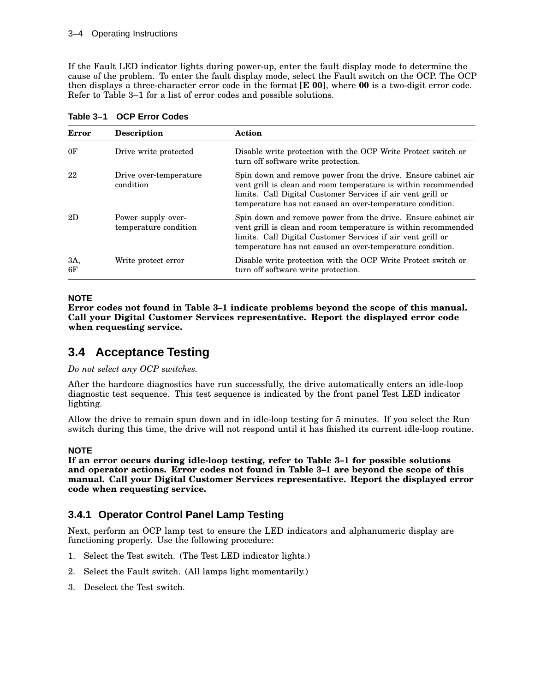If the Fault LED indicator lights during power-up, enter the fault display mode to determine the cause of the problem. To enter the fault display mode, select the Fault switch on the OCP. The OCP then displays a three-character error code in the format **[E 00]**, where **00** is a two-digit error code. Refer to Table 3–1 for a list of error codes and possible solutions.

| <b>Error</b>   | <b>Description</b>                          | Action                                                                                                                                                                                                                                                      |
|----------------|---------------------------------------------|-------------------------------------------------------------------------------------------------------------------------------------------------------------------------------------------------------------------------------------------------------------|
| 0 <sub>F</sub> | Drive write protected                       | Disable write protection with the OCP Write Protect switch or<br>turn off software write protection.                                                                                                                                                        |
| 22             | Drive over-temperature<br>condition         | Spin down and remove power from the drive. Ensure cabinet air<br>vent grill is clean and room temperature is within recommended<br>limits. Call Digital Customer Services if air vent grill or<br>temperature has not caused an over-temperature condition. |
| 2D             | Power supply over-<br>temperature condition | Spin down and remove power from the drive. Ensure cabinet air<br>vent grill is clean and room temperature is within recommended<br>limits. Call Digital Customer Services if air vent grill or<br>temperature has not caused an over-temperature condition. |
| 3A,<br>6F      | Write protect error                         | Disable write protection with the OCP Write Protect switch or<br>turn off software write protection.                                                                                                                                                        |

**Table 3–1 OCP Error Codes**

#### **NOTE**

**Error codes not found in Table 3–1 indicate problems beyond the scope of this manual. Call your Digital Customer Services representative. Report the displayed error code when requesting service.**

### **3.4 Acceptance Testing**

*Do not select any OCP switches.*

After the hardcore diagnostics have run successfully, the drive automatically enters an idle-loop diagnostic test sequence. This test sequence is indicated by the front panel Test LED indicator lighting.

Allow the drive to remain spun down and in idle-loop testing for 5 minutes. If you select the Run switch during this time, the drive will not respond until it has finished its current idle-loop routine.

#### **NOTE**

**If an error occurs during idle-loop testing, refer to Table 3–1 for possible solutions and operator actions. Error codes not found in Table 3–1 are beyond the scope of this manual. Call your Digital Customer Services representative. Report the displayed error code when requesting service.**

#### **3.4.1 Operator Control Panel Lamp Testing**

Next, perform an OCP lamp test to ensure the LED indicators and alphanumeric display are functioning properly. Use the following procedure:

- 1. Select the Test switch. (The Test LED indicator lights.)
- 2. Select the Fault switch. (All lamps light momentarily.)
- 3. Deselect the Test switch.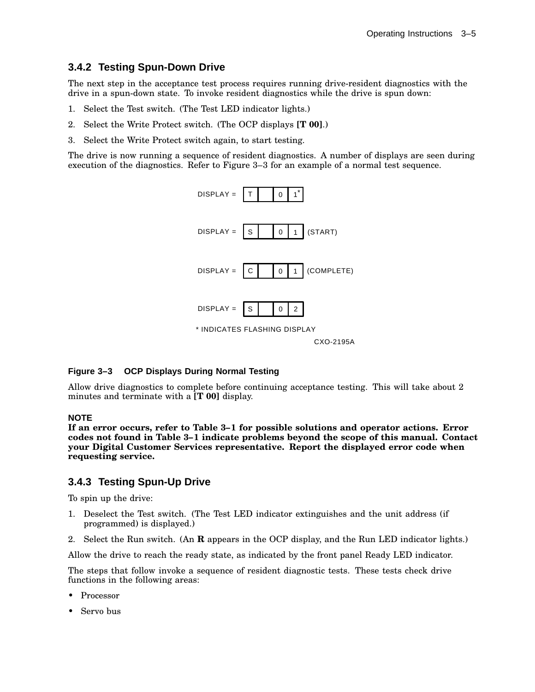### **3.4.2 Testing Spun-Down Drive**

The next step in the acceptance test process requires running drive-resident diagnostics with the drive in a spun-down state. To invoke resident diagnostics while the drive is spun down:

- 1. Select the Test switch. (The Test LED indicator lights.)
- 2. Select the Write Protect switch. (The OCP displays **[T 00]**.)
- 3. Select the Write Protect switch again, to start testing.

The drive is now running a sequence of resident diagnostics. A number of displays are seen during execution of the diagnostics. Refer to Figure 3–3 for an example of a normal test sequence.



#### **Figure 3–3 OCP Displays During Normal Testing**

Allow drive diagnostics to complete before continuing acceptance testing. This will take about 2 minutes and terminate with a **[T 00]** display.

#### **NOTE**

**If an error occurs, refer to Table 3–1 for possible solutions and operator actions. Error codes not found in Table 3–1 indicate problems beyond the scope of this manual. Contact your Digital Customer Services representative. Report the displayed error code when requesting service.**

#### **3.4.3 Testing Spun-Up Drive**

To spin up the drive:

- 1. Deselect the Test switch. (The Test LED indicator extinguishes and the unit address (if programmed) is displayed.)
- 2. Select the Run switch. (An **R** appears in the OCP display, and the Run LED indicator lights.)

Allow the drive to reach the ready state, as indicated by the front panel Ready LED indicator.

The steps that follow invoke a sequence of resident diagnostic tests. These tests check drive functions in the following areas:

- Processor
- Servo bus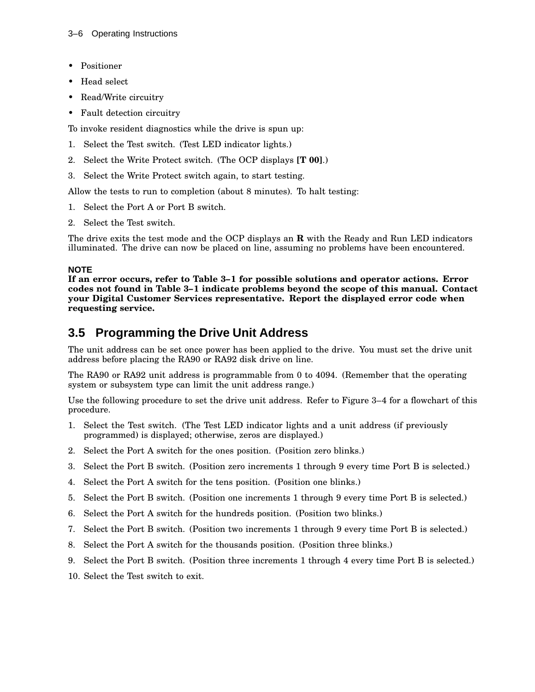- Positioner
- Head select
- Read/Write circuitry
- Fault detection circuitry

To invoke resident diagnostics while the drive is spun up:

- 1. Select the Test switch. (Test LED indicator lights.)
- 2. Select the Write Protect switch. (The OCP displays **[T 00]**.)
- 3. Select the Write Protect switch again, to start testing.

Allow the tests to run to completion (about 8 minutes). To halt testing:

- 1. Select the Port A or Port B switch.
- 2. Select the Test switch.

The drive exits the test mode and the OCP displays an **R** with the Ready and Run LED indicators illuminated. The drive can now be placed on line, assuming no problems have been encountered.

#### **NOTE**

**If an error occurs, refer to Table 3–1 for possible solutions and operator actions. Error codes not found in Table 3–1 indicate problems beyond the scope of this manual. Contact your Digital Customer Services representative. Report the displayed error code when requesting service.**

### **3.5 Programming the Drive Unit Address**

The unit address can be set once power has been applied to the drive. You must set the drive unit address before placing the RA90 or RA92 disk drive on line.

The RA90 or RA92 unit address is programmable from 0 to 4094. (Remember that the operating system or subsystem type can limit the unit address range.)

Use the following procedure to set the drive unit address. Refer to Figure 3–4 for a flowchart of this procedure.

- 1. Select the Test switch. (The Test LED indicator lights and a unit address (if previously programmed) is displayed; otherwise, zeros are displayed.)
- 2. Select the Port A switch for the ones position. (Position zero blinks.)
- 3. Select the Port B switch. (Position zero increments 1 through 9 every time Port B is selected.)
- 4. Select the Port A switch for the tens position. (Position one blinks.)
- 5. Select the Port B switch. (Position one increments 1 through 9 every time Port B is selected.)
- 6. Select the Port A switch for the hundreds position. (Position two blinks.)
- 7. Select the Port B switch. (Position two increments 1 through 9 every time Port B is selected.)
- 8. Select the Port A switch for the thousands position. (Position three blinks.)
- 9. Select the Port B switch. (Position three increments 1 through 4 every time Port B is selected.)
- 10. Select the Test switch to exit.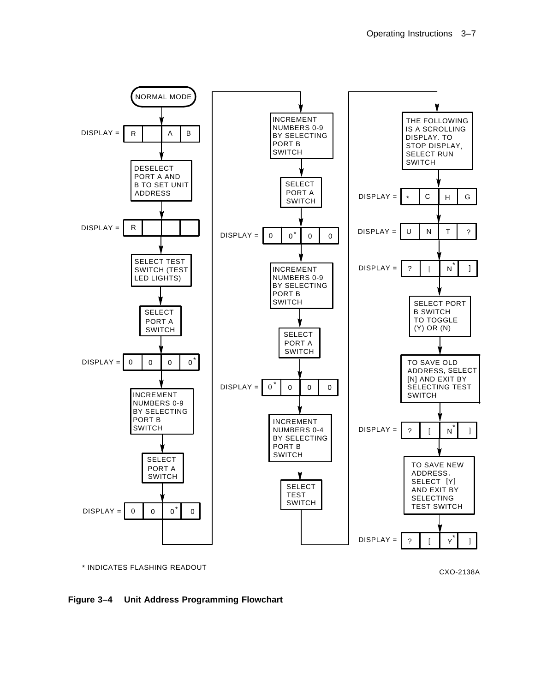

**Figure 3–4 Unit Address Programming Flowchart**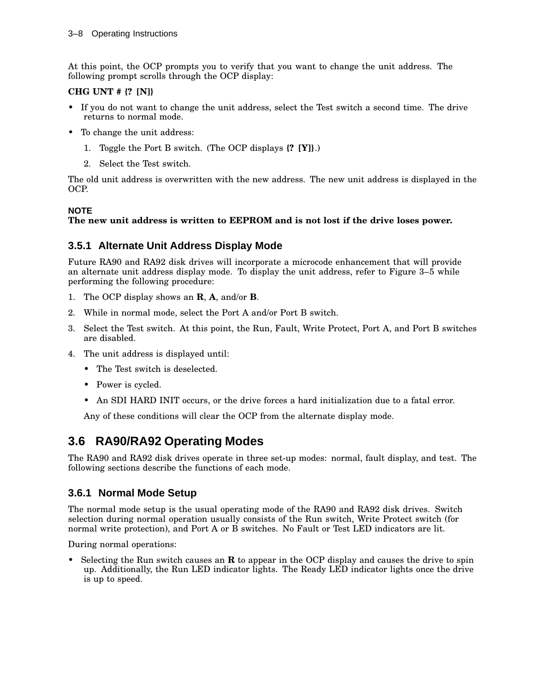At this point, the OCP prompts you to verify that you want to change the unit address. The following prompt scrolls through the OCP display:

#### **CHG UNT # {? [N]}**

- If you do not want to change the unit address, select the Test switch a second time. The drive returns to normal mode.
- To change the unit address:
	- 1. Toggle the Port B switch. (The OCP displays **{? [Y]}**.)
	- 2. Select the Test switch.

The old unit address is overwritten with the new address. The new unit address is displayed in the OCP.

#### **NOTE**

#### **The new unit address is written to EEPROM and is not lost if the drive loses power.**

#### **3.5.1 Alternate Unit Address Display Mode**

Future RA90 and RA92 disk drives will incorporate a microcode enhancement that will provide an alternate unit address display mode. To display the unit address, refer to Figure 3–5 while performing the following procedure:

- 1. The OCP display shows an **R**, **A**, and/or **B**.
- 2. While in normal mode, select the Port A and/or Port B switch.
- 3. Select the Test switch. At this point, the Run, Fault, Write Protect, Port A, and Port B switches are disabled.
- 4. The unit address is displayed until:
	- The Test switch is deselected.
	- Power is cycled.
	- An SDI HARD INIT occurs, or the drive forces a hard initialization due to a fatal error.

Any of these conditions will clear the OCP from the alternate display mode.

### **3.6 RA90/RA92 Operating Modes**

The RA90 and RA92 disk drives operate in three set-up modes: normal, fault display, and test. The following sections describe the functions of each mode.

#### **3.6.1 Normal Mode Setup**

The normal mode setup is the usual operating mode of the RA90 and RA92 disk drives. Switch selection during normal operation usually consists of the Run switch, Write Protect switch (for normal write protection), and Port A or B switches. No Fault or Test LED indicators are lit.

During normal operations:

• Selecting the Run switch causes an **R** to appear in the OCP display and causes the drive to spin up. Additionally, the Run LED indicator lights. The Ready LED indicator lights once the drive is up to speed.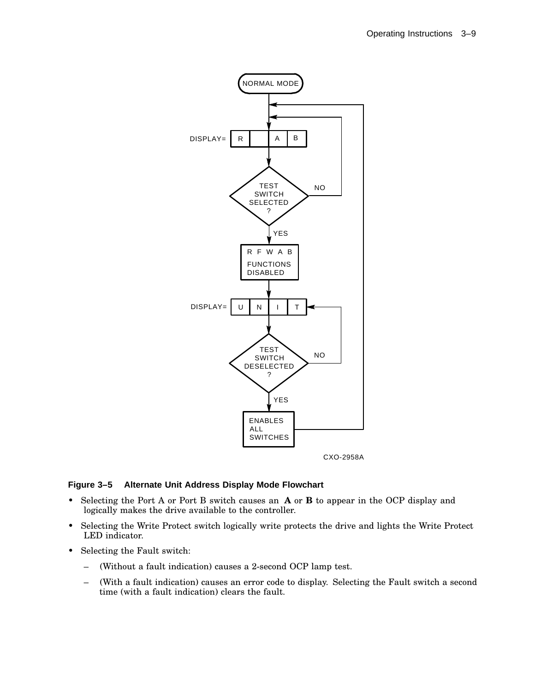

#### **Figure 3–5 Alternate Unit Address Display Mode Flowchart**

- Selecting the Port A or Port B switch causes an **A** or **B** to appear in the OCP display and logically makes the drive available to the controller.
- Selecting the Write Protect switch logically write protects the drive and lights the Write Protect LED indicator.
- Selecting the Fault switch:
	- (Without a fault indication) causes a 2-second OCP lamp test.
	- (With a fault indication) causes an error code to display. Selecting the Fault switch a second time (with a fault indication) clears the fault.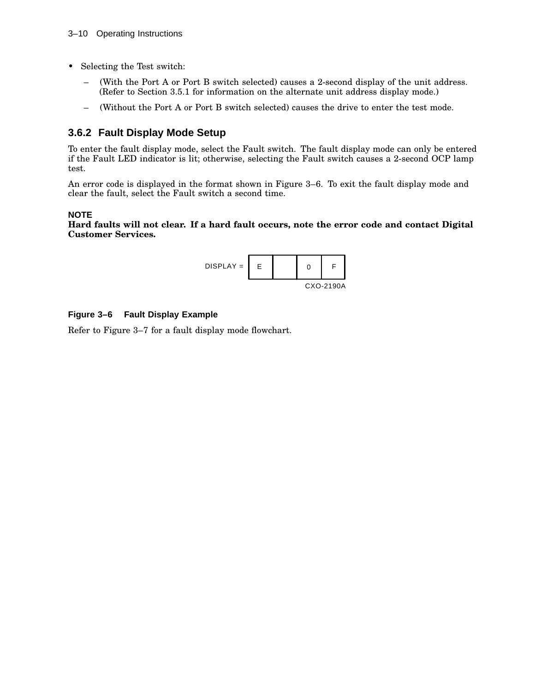- Selecting the Test switch:
	- (With the Port A or Port B switch selected) causes a 2-second display of the unit address. (Refer to Section 3.5.1 for information on the alternate unit address display mode.)
	- (Without the Port A or Port B switch selected) causes the drive to enter the test mode.

#### **3.6.2 Fault Display Mode Setup**

To enter the fault display mode, select the Fault switch. The fault display mode can only be entered if the Fault LED indicator is lit; otherwise, selecting the Fault switch causes a 2-second OCP lamp test.

An error code is displayed in the format shown in Figure 3–6. To exit the fault display mode and clear the fault, select the Fault switch a second time.

#### **NOTE**

**Hard faults will not clear. If a hard fault occurs, note the error code and contact Digital Customer Services.**



#### **Figure 3–6 Fault Display Example**

Refer to Figure 3–7 for a fault display mode flowchart.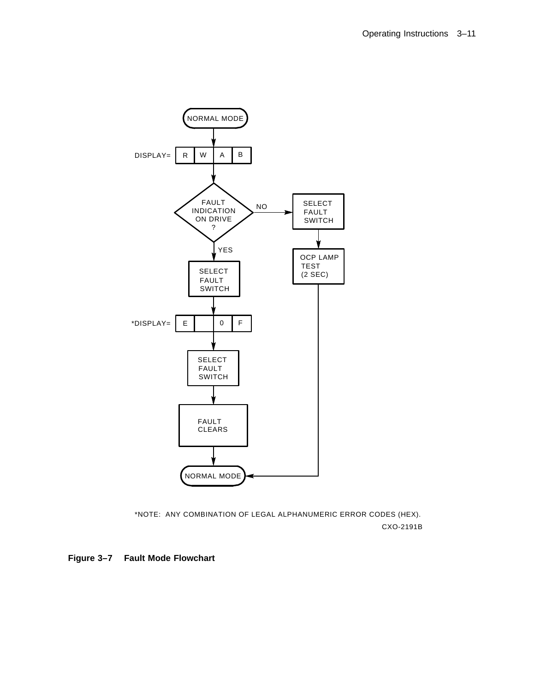

CXO-2191B \*NOTE: ANY COMBINATION OF LEGAL ALPHANUMERIC ERROR CODES (HEX).

**Figure 3–7 Fault Mode Flowchart**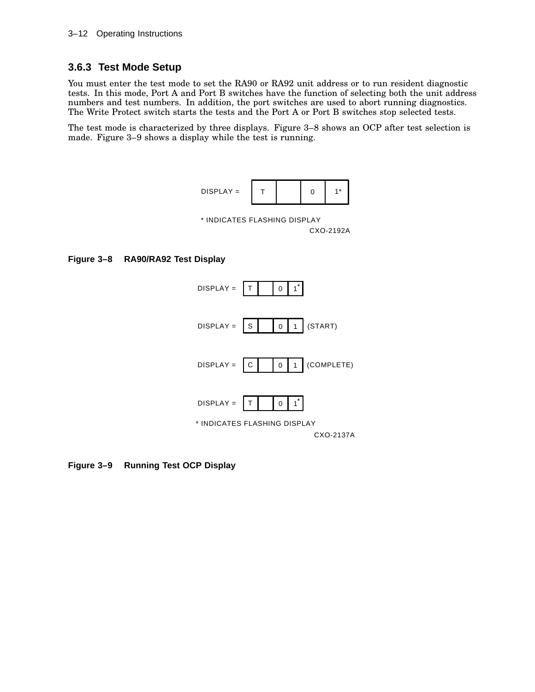### **3.6.3 Test Mode Setup**

You must enter the test mode to set the RA90 or RA92 unit address or to run resident diagnostic tests. In this mode, Port A and Port B switches have the function of selecting both the unit address numbers and test numbers. In addition, the port switches are used to abort running diagnostics. The Write Protect switch starts the tests and the Port A or Port B switches stop selected tests.

The test mode is characterized by three displays. Figure 3–8 shows an OCP after test selection is made. Figure 3–9 shows a display while the test is running.



CXO-2192A \* INDICATES FLASHING DISPLAY

#### **Figure 3–8 RA90/RA92 Test Display**



**Figure 3–9 Running Test OCP Display**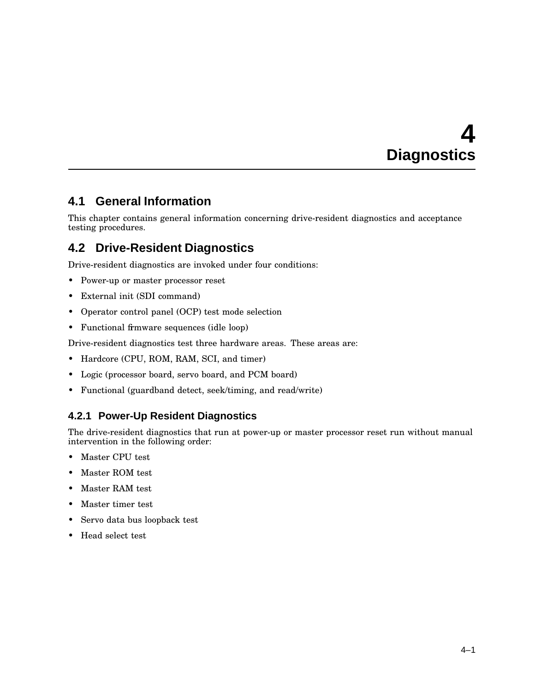# **4 Diagnostics**

### **4.1 General Information**

This chapter contains general information concerning drive-resident diagnostics and acceptance testing procedures.

### **4.2 Drive-Resident Diagnostics**

Drive-resident diagnostics are invoked under four conditions:

- Power-up or master processor reset
- External init (SDI command)
- Operator control panel (OCP) test mode selection
- Functional firmware sequences (idle loop)

Drive-resident diagnostics test three hardware areas. These areas are:

- Hardcore (CPU, ROM, RAM, SCI, and timer)
- Logic (processor board, servo board, and PCM board)
- Functional (guardband detect, seek/timing, and read/write)

#### **4.2.1 Power-Up Resident Diagnostics**

The drive-resident diagnostics that run at power-up or master processor reset run without manual intervention in the following order:

- Master CPU test
- Master ROM test
- Master RAM test
- Master timer test
- Servo data bus loopback test
- Head select test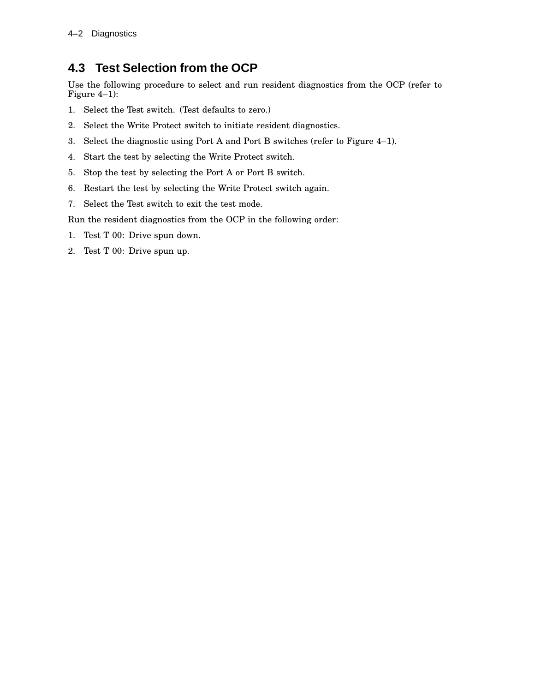### **4.3 Test Selection from the OCP**

Use the following procedure to select and run resident diagnostics from the OCP (refer to Figure 4–1):

- 1. Select the Test switch. (Test defaults to zero.)
- 2. Select the Write Protect switch to initiate resident diagnostics.
- 3. Select the diagnostic using Port A and Port B switches (refer to Figure 4–1).
- 4. Start the test by selecting the Write Protect switch.
- 5. Stop the test by selecting the Port A or Port B switch.
- 6. Restart the test by selecting the Write Protect switch again.
- 7. Select the Test switch to exit the test mode.

Run the resident diagnostics from the OCP in the following order:

- 1. Test T 00: Drive spun down.
- 2. Test T 00: Drive spun up.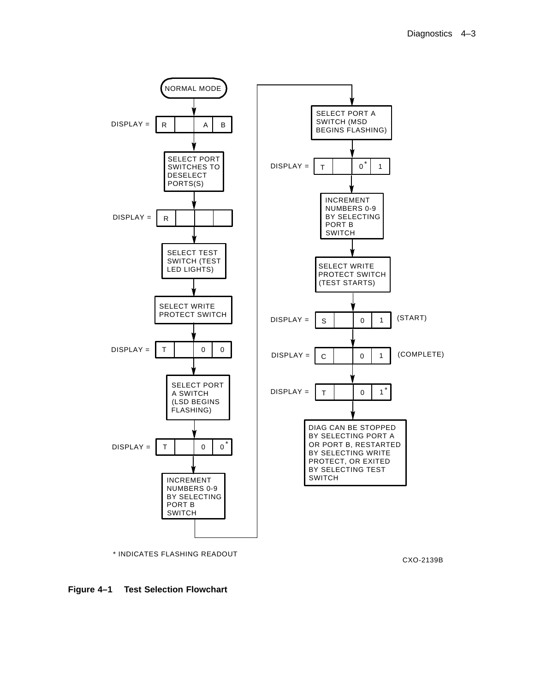

CXO-2139B

#### **Figure 4–1 Test Selection Flowchart**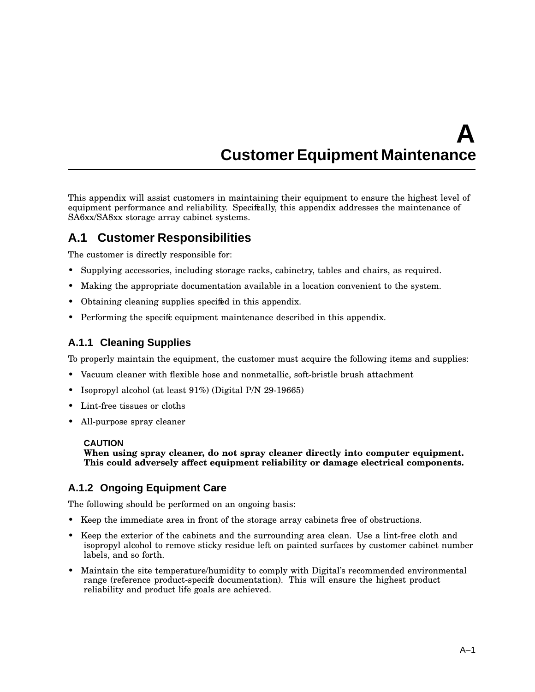# **A Customer Equipment Maintenance**

This appendix will assist customers in maintaining their equipment to ensure the highest level of equipment performance and reliability. Specifically, this appendix addresses the maintenance of SA6xx/SA8xx storage array cabinet systems.

### **A.1 Customer Responsibilities**

The customer is directly responsible for:

- Supplying accessories, including storage racks, cabinetry, tables and chairs, as required.
- Making the appropriate documentation available in a location convenient to the system.
- Obtaining cleaning supplies specified in this appendix.
- Performing the specific equipment maintenance described in this appendix.

### **A.1.1 Cleaning Supplies**

To properly maintain the equipment, the customer must acquire the following items and supplies:

- Vacuum cleaner with flexible hose and nonmetallic, soft-bristle brush attachment
- Isopropyl alcohol (at least 91%) (Digital P/N 29-19665)
- Lint-free tissues or cloths
- All-purpose spray cleaner

#### **CAUTION**

**When using spray cleaner, do not spray cleaner directly into computer equipment. This could adversely affect equipment reliability or damage electrical components.**

#### **A.1.2 Ongoing Equipment Care**

The following should be performed on an ongoing basis:

- Keep the immediate area in front of the storage array cabinets free of obstructions.
- Keep the exterior of the cabinets and the surrounding area clean. Use a lint-free cloth and isopropyl alcohol to remove sticky residue left on painted surfaces by customer cabinet number labels, and so forth.
- Maintain the site temperature/humidity to comply with Digital's recommended environmental range (reference product-specific documentation). This will ensure the highest product reliability and product life goals are achieved.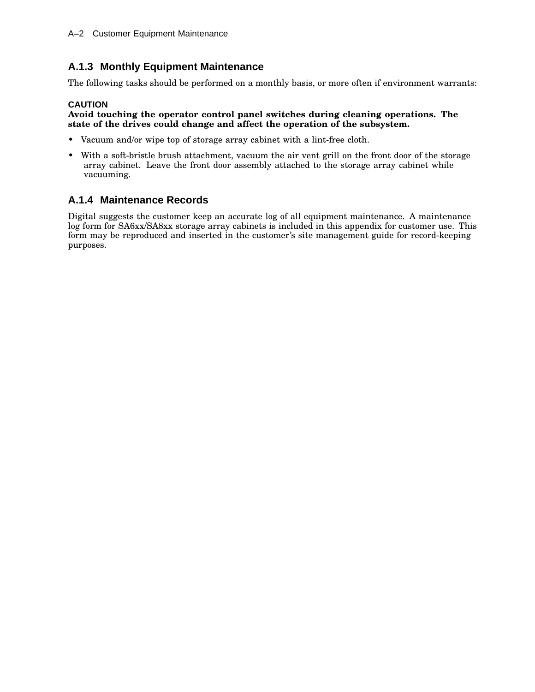### **A.1.3 Monthly Equipment Maintenance**

The following tasks should be performed on a monthly basis, or more often if environment warrants:

#### **CAUTION**

#### **Avoid touching the operator control panel switches during cleaning operations. The state of the drives could change and affect the operation of the subsystem.**

- Vacuum and/or wipe top of storage array cabinet with a lint-free cloth.
- With a soft-bristle brush attachment, vacuum the air vent grill on the front door of the storage array cabinet. Leave the front door assembly attached to the storage array cabinet while vacuuming.

#### **A.1.4 Maintenance Records**

Digital suggests the customer keep an accurate log of all equipment maintenance. A maintenance log form for SA6xx/SA8xx storage array cabinets is included in this appendix for customer use. This form may be reproduced and inserted in the customer's site management guide for record-keeping purposes.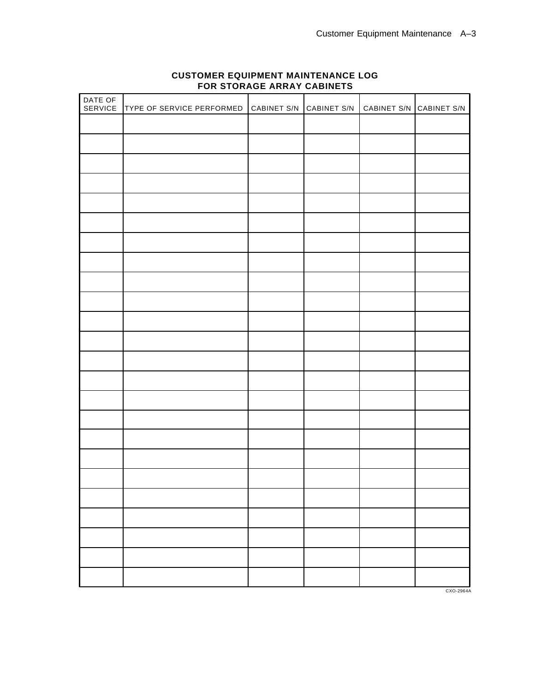| DATE OF<br>SERVICE | TYPE OF SERVICE PERFORMED CABINET S/N CABINET S/N | I. | CABINET S/N CABINET S/N |  |
|--------------------|---------------------------------------------------|----|-------------------------|--|
|                    |                                                   |    |                         |  |
|                    |                                                   |    |                         |  |
|                    |                                                   |    |                         |  |
|                    |                                                   |    |                         |  |
|                    |                                                   |    |                         |  |
|                    |                                                   |    |                         |  |
|                    |                                                   |    |                         |  |
|                    |                                                   |    |                         |  |
|                    |                                                   |    |                         |  |
|                    |                                                   |    |                         |  |
|                    |                                                   |    |                         |  |
|                    |                                                   |    |                         |  |
|                    |                                                   |    |                         |  |
|                    |                                                   |    |                         |  |
|                    |                                                   |    |                         |  |
|                    |                                                   |    |                         |  |
|                    |                                                   |    |                         |  |
|                    |                                                   |    |                         |  |
|                    |                                                   |    |                         |  |
|                    |                                                   |    |                         |  |
|                    |                                                   |    |                         |  |
|                    |                                                   |    |                         |  |
|                    |                                                   |    |                         |  |
|                    |                                                   |    |                         |  |
|                    |                                                   |    |                         |  |

#### **CUSTOMER EQUIPMENT MAINTENANCE LOG FOR STORAGE ARRAY CABINETS**

CXO-2964A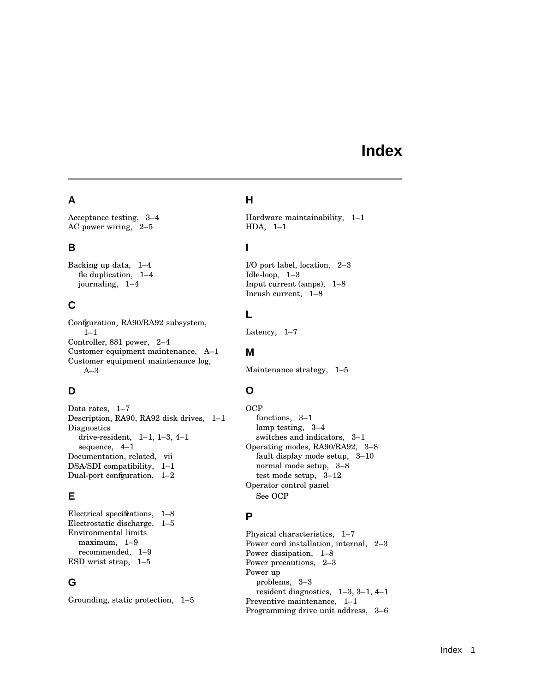## **Index**

### **A**

Acceptance testing, 3–4 AC power wiring, 2–5

### **B**

Backing up data, 1–4 fle duplication,  $1-4$ journaling, 1–4

### **C**

Confguration, RA90/RA92 subsystem, 1–1 Controller, 881 power, 2–4 Customer equipment maintenance, A–1 Customer equipment maintenance log, A–3

### **D**

Data rates, 1–7 Description, RA90, RA92 disk drives, 1–1 **Diagnostics** drive-resident, 1–1, 1–3, 4–1 sequence, 4–1 Documentation, related, vii DSA/SDI compatibility, 1–1 Dual-port configuration, 1-2

### **E**

Electrical specifications, 1–8 Electrostatic discharge, 1–5 Environmental limits maximum, 1–9 recommended, 1–9 ESD wrist strap, 1–5

### **G**

Grounding, static protection, 1–5

#### **H**

Hardware maintainability, 1–1 HDA, 1–1

### **I**

I/O port label, location, 2–3 Idle-loop, 1–3 Input current (amps), 1–8 Inrush current, 1–8

### **L**

Latency, 1–7

#### **M**

Maintenance strategy, 1–5

### **O**

**OCP** functions, 3–1 lamp testing, 3–4 switches and indicators, 3–1 Operating modes, RA90/RA92, 3–8 fault display mode setup, 3–10 normal mode setup, 3–8 test mode setup, 3–12 Operator control panel See OCP

### **P**

Physical characteristics, 1–7 Power cord installation, internal, 2–3 Power dissipation, 1–8 Power precautions, 2–3 Power up problems, 3–3 resident diagnostics, 1–3, 3–1, 4–1 Preventive maintenance, 1–1 Programming drive unit address, 3–6